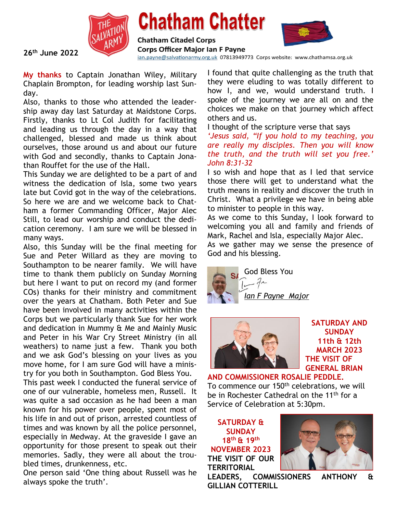

## **Chatham Chatter**





**26th June 2022**

ian.payne@salvationarmy.org.uk 07813949773 Corps website: www.chathamsa.org.uk

**My thanks** to Captain Jonathan Wiley, Military Chaplain Brompton, for leading worship last Sunday.

Also, thanks to those who attended the leadership away day last Saturday at Maidstone Corps. Firstly, thanks to Lt Col Judith for facilitating and leading us through the day in a way that challenged, blessed and made us think about ourselves, those around us and about our future with God and secondly, thanks to Captain Jonathan Rouffet for the use of the Hall.

This Sunday we are delighted to be a part of and witness the dedication of Isla, some two years late but Covid got in the way of the celebrations. So here we are and we welcome back to Chatham a former Commanding Officer, Major Alec Still, to lead our worship and conduct the dedication ceremony. I am sure we will be blessed in many ways.

Also, this Sunday will be the final meeting for Sue and Peter Willard as they are moving to Southampton to be nearer family. We will have time to thank them publicly on Sunday Morning but here I want to put on record my (and former COs) thanks for their ministry and commitment over the years at Chatham. Both Peter and Sue have been involved in many activities within the Corps but we particularly thank Sue for her work and dedication in Mummy & Me and Mainly Music and Peter in his War Cry Street Ministry (in all weathers) to name just a few. Thank you both and we ask God's blessing on your lives as you move home, for I am sure God will have a ministry for you both in Southampton. God Bless You.

This past week I conducted the funeral service of one of our vulnerable, homeless men, Russell. It was quite a sad occasion as he had been a man known for his power over people, spent most of his life in and out of prison, arrested countless of times and was known by all the police personnel, especially in Medway. At the graveside I gave an opportunity for those present to speak out their memories. Sadly, they were all about the troubled times, drunkenness, etc.

One person said 'One thing about Russell was he always spoke the truth'.

I found that quite challenging as the truth that they were eluding to was totally different to how I, and we, would understand truth. I spoke of the journey we are all on and the choices we make on that journey which affect others and us.

I thought of the scripture verse that says

*'Jesus said, "If you hold to my teaching, you are really my disciples. Then you will know the truth, and the truth will set you free.' John 8:31-32*

I so wish and hope that as I led that service those there will get to understand what the truth means in reality and discover the truth in Christ. What a privilege we have in being able to minister to people in this way.

As we come to this Sunday, I look forward to welcoming you all and family and friends of Mark, Rachel and Isla, especially Major Alec.

As we gather may we sense the presence of God and his blessing.





**SATURDAY AND SUNDAY 11th & 12th MARCH 2023 THE VISIT OF GENERAL BRIAN**

**AND COMMISSIONER ROSALIE PEDDLE.** To commence our 150<sup>th</sup> celebrations, we will be in Rochester Cathedral on the 11<sup>th</sup> for a Service of Celebration at 5:30pm.

**SATURDAY & SUNDAY 18th & 19th NOVEMBER 2023 THE VISIT OF OUR TERRITORIAL**



**LEADERS, COMMISSIONERS ANTHONY & GILLIAN COTTERILL**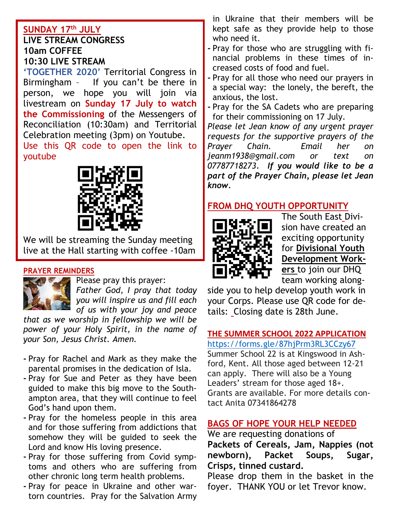#### **SUNDAY 17th JULY LIVE STREAM CONGRESS 10am COFFEE 10:30 LIVE STREAM**

**'TOGETHER 2020'** Territorial Congress in Birmingham – If you can't be there in person, we hope you will join via livestream on **Sunday 17 July to watch the Commissioning** of the Messengers of Reconciliation (10:30am) and Territorial Celebration meeting (3pm) on Youtube. Use this QR code to open the link to

youtube



We will be streaming the Sunday meeting live at the Hall starting with coffee -10am

#### **PRAYER REMINDERS**



Please pray this prayer:

*Father God, I pray that today you will inspire us and fill each of us with your joy and peace*

*that as we worship in fellowship we will be power of your Holy Spirit, in the name of your Son, Jesus Christ. Amen.*

- **-** Pray for Rachel and Mark as they make the parental promises in the dedication of Isla.
- **-** Pray for Sue and Peter as they have been guided to make this big move to the Southampton area, that they will continue to feel God's hand upon them.
- **-** Pray for the homeless people in this area and for those suffering from addictions that somehow they will be guided to seek the Lord and know His loving presence.
- **-** Pray for those suffering from Covid symptoms and others who are suffering from other chronic long term health problems.
- **-** Pray for peace in Ukraine and other wartorn countries. Pray for the Salvation Army

in Ukraine that their members will be kept safe as they provide help to those who need it.

- **-** Pray for those who are struggling with financial problems in these times of increased costs of food and fuel.
- **-** Pray for all those who need our prayers in a special way: the lonely, the bereft, the anxious, the lost.
- **-** Pray for the SA Cadets who are preparing for their commissioning on 17 July.

*Please let Jean know of any urgent prayer requests for the supportive prayers of the Prayer Chain. Email her on jeanm1938@gmail.com or text on 07787718273. If you would like to be a part of the Prayer Chain, please let Jean know.*

#### **FROM DHQ YOUTH OPPORTUNITY**



The South East Division have created an exciting opportunity for **Divisional Youth Development Workers** to join our DHQ team working along-

side you to help develop youth work in your Corps. Please use QR code for details: Closing date is 28th June.

#### **THE SUMMER SCHOOL 2022 APPLICATION**  <https://forms.gle/87hjPrm3RL3CCzy67>

Summer School 22 is at Kingswood in Ashford, Kent. All those aged between 12-21 can apply. There will also be a Young Leaders' stream for those aged 18+. Grants are available. For more details contact Anita 07341864278

#### **BAGS OF HOPE YOUR HELP NEEDED**

We are requesting donations of **Packets of Cereals, Jam, Nappies (not newborn), Packet Soups, Sugar, Crisps, tinned custard.**

Please drop them in the basket in the foyer. THANK YOU or let Trevor know.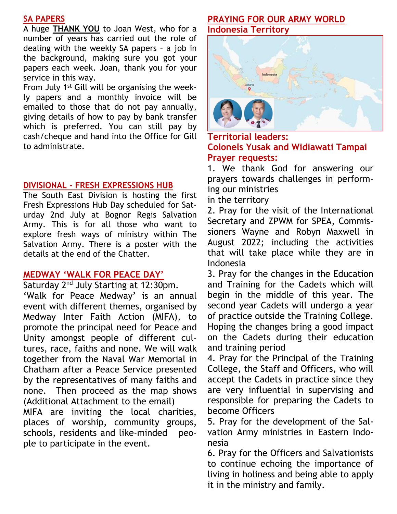#### **SA PAPERS**

A huge **THANK YOU** to Joan West, who for a number of years has carried out the role of dealing with the weekly SA papers – a job in the background, making sure you got your papers each week. Joan, thank you for your service in this way.

From July 1st Gill will be organising the weekly papers and a monthly invoice will be emailed to those that do not pay annually, giving details of how to pay by bank transfer which is preferred. You can still pay by cash/cheque and hand into the Office for Gill to administrate.

#### **DIVISIONAL - FRESH EXPRESSIONS HUB**

The South East Division is hosting the first Fresh Expressions Hub Day scheduled for Saturday 2nd July at Bognor Regis Salvation Army. This is for all those who want to explore fresh ways of ministry within The Salvation Army. There is a poster with the details at the end of the Chatter.

#### **MEDWAY 'WALK FOR PEACE DAY'**

Saturday 2<sup>nd</sup> July Starting at 12:30pm.

'Walk for Peace Medway' is an annual event with different themes, organised by Medway Inter Faith Action (MIFA), to promote the principal need for Peace and Unity amongst people of different cultures, race, faiths and none. We will walk together from the Naval War Memorial in Chatham after a Peace Service presented by the representatives of many faiths and none. Then proceed as the map shows (Additional Attachment to the email) MIFA are inviting the local charities, places of worship, community groups, schools, residents and like-minded peo-

ple to participate in the event.

#### **PRAYING FOR OUR ARMY WORLD Indonesia Territory**



**Territorial leaders: Colonels Yusak and Widiawati Tampai Prayer requests:**

1. We thank God for answering our prayers towards challenges in performing our ministries

in the territory

2. Pray for the visit of the International Secretary and ZPWM for SPEA, Commissioners Wayne and Robyn Maxwell in August 2022; including the activities that will take place while they are in Indonesia

3. Pray for the changes in the Education and Training for the Cadets which will begin in the middle of this year. The second year Cadets will undergo a year of practice outside the Training College. Hoping the changes bring a good impact on the Cadets during their education and training period

4. Pray for the Principal of the Training College, the Staff and Officers, who will accept the Cadets in practice since they are very influential in supervising and responsible for preparing the Cadets to become Officers

5. Pray for the development of the Salvation Army ministries in Eastern Indonesia

6. Pray for the Officers and Salvationists to continue echoing the importance of living in holiness and being able to apply it in the ministry and family.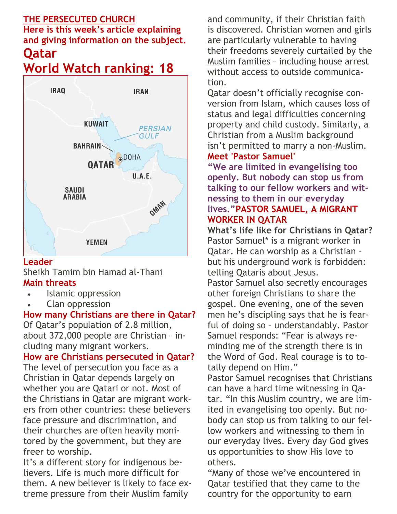#### **THE PERSECUTED CHURCH**

**Here is this week's article explaining and giving information on the subject.**

#### **Qatar World Watch ranking: 18**



#### **Leader**

Sheikh Tamim bin Hamad al-Thani **Main threats**

- Islamic oppression
- Clan oppression

#### **How many Christians are there in Qatar?**

Of Qatar's population of 2.8 million, about 372,000 people are Christian – including many migrant workers.

**How are Christians persecuted in Qatar?** The level of persecution you face as a Christian in Qatar depends largely on whether you are Qatari or not. Most of the Christians in Qatar are migrant workers from other countries: these believers face pressure and discrimination, and their churches are often heavily monitored by the government, but they are freer to worship.

It's a different story for indigenous believers. Life is much more difficult for them. A new believer is likely to face extreme pressure from their Muslim family

and community, if their Christian faith is discovered. Christian women and girls are particularly vulnerable to having their freedoms severely curtailed by the Muslim families – including house arrest without access to outside communication.

Qatar doesn't officially recognise conversion from Islam, which causes loss of status and legal difficulties concerning property and child custody. Similarly, a Christian from a Muslim background isn't permitted to marry a non-Muslim. **Meet 'Pastor Samuel'**

#### **"We are limited in evangelising too openly. But nobody can stop us from talking to our fellow workers and witnessing to them in our everyday lives."PASTOR SAMUEL, A MIGRANT WORKER IN QATAR**

**What's life like for Christians in Qatar?** Pastor Samuel\* is a migrant worker in Qatar. He can worship as a Christian – but his underground work is forbidden: telling Qataris about Jesus.

Pastor Samuel also secretly encourages other foreign Christians to share the gospel. One evening, one of the seven men he's discipling says that he is fearful of doing so – understandably. Pastor Samuel responds: "Fear is always reminding me of the strength there is in the Word of God. Real courage is to totally depend on Him."

Pastor Samuel recognises that Christians can have a hard time witnessing in Qatar. "In this Muslim country, we are limited in evangelising too openly. But nobody can stop us from talking to our fellow workers and witnessing to them in our everyday lives. Every day God gives us opportunities to show His love to others.

"Many of those we've encountered in Qatar testified that they came to the country for the opportunity to earn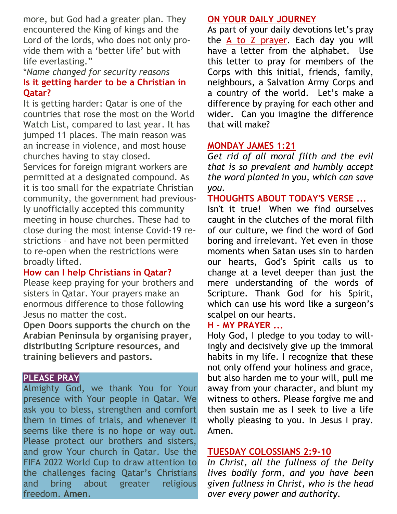more, but God had a greater plan. They encountered the King of kings and the Lord of the lords, who does not only provide them with a 'better life' but with life everlasting."

#### \**Name changed for security reasons* **Is it getting harder to be a Christian in Qatar?**

It is getting harder: Qatar is one of the countries that rose the most on the World Watch List, compared to last year. It has jumped 11 places. The main reason was an increase in violence, and most house churches having to stay closed.

Services for foreign migrant workers are permitted at a designated compound. As it is too small for the expatriate Christian community, the government had previously unofficially accepted this community meeting in house churches. These had to close during the most intense Covid-19 restrictions – and have not been permitted to re-open when the restrictions were broadly lifted.

#### **How can I help Christians in Qatar?**

Please keep praying for your brothers and sisters in Qatar. Your prayers make an enormous difference to those following Jesus no matter the cost.

**Open Doors supports the church on the Arabian Peninsula by organising prayer, distributing Scripture resources, and training believers and pastors.**

#### **PLEASE PRAY**

Almighty God, we thank You for Your presence with Your people in Qatar. We ask you to bless, strengthen and comfort them in times of trials, and whenever it seems like there is no hope or way out. Please protect our brothers and sisters, and grow Your church in Qatar. Use the FIFA 2022 World Cup to draw attention to the challenges facing Qatar's Christians and bring about greater religious freedom. **Amen.**

#### **ON YOUR DAILY JOURNEY**

As part of your daily devotions let's pray the  $A$  to  $Z$  prayer. Each day you will have a letter from the alphabet. Use this letter to pray for members of the Corps with this initial, friends, family, neighbours, a Salvation Army Corps and a country of the world. Let's make a difference by praying for each other and wider. Can you imagine the difference that will make?

#### **MONDAY [JAMES 1:21](https://www.biblestudytools.com/james/1-21.html)**

*Get rid of all moral filth and the evil that is so prevalent and humbly accept the word planted in you, which can save you.*

**THOUGHTS ABOUT TODAY'S VERSE ...**

Isn't it true! When we find ourselves caught in the clutches of the moral filth of our culture, we find the word of God boring and irrelevant. Yet even in those moments when Satan uses sin to harden our hearts, God's Spirit calls us to change at a level deeper than just the mere understanding of the words of Scripture. Thank God for his Spirit, which can use his word like a surgeon's scalpel on our hearts.

#### **H - MY [PRAYER](https://www.crosswalk.com/faith/prayer/) ...**

Holy God, I pledge to you today to willingly and decisively give up the immoral habits in my life. I recognize that these not only offend your holiness and grace, but also harden me to your will, pull me away from your character, and blunt my witness to others. Please forgive me and then sustain me as I seek to live a life wholly pleasing to you. In Jesus I pray. Amen.

#### **TUESDAY [COLOSSIANS 2:9-10](https://www.biblestudytools.com/colossians/passage/?q=colossians+2:9-10)**

*In Christ, all the fullness of the Deity lives bodily form, and you have been given fullness in Christ, who is the head over every power and authority.*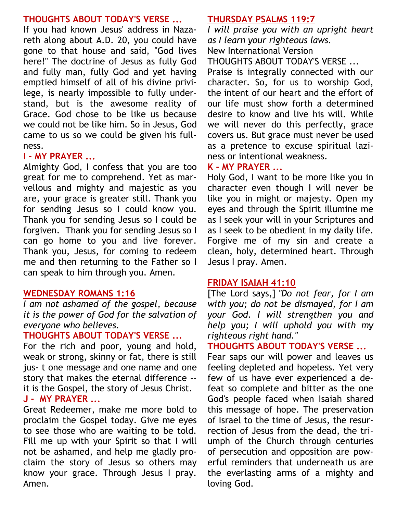#### **THOUGHTS ABOUT TODAY'S VERSE ...**

If you had known Jesus' address in Nazareth along about A.D. 20, you could have gone to that house and said, "God lives here!" The doctrine of Jesus as fully God and fully man, fully God and yet having emptied himself of all of his divine privilege, is nearly impossible to fully understand, but is the awesome reality of Grace. God chose to be like us because we could not be like him. So in Jesus, God came to us so we could be given his fullness.

#### **I - MY PRAYER ...**

Almighty God, I confess that you are too great for me to comprehend. Yet as marvellous and mighty and majestic as you are, your grace is greater still. Thank you for sending Jesus so I could know you. Thank you for sending Jesus so I could be forgiven. Thank you for sending Jesus so I can go home to you and live forever. Thank you, Jesus, for coming to redeem me and then returning to the Father so I can speak to him through you. Amen.

#### **WEDNESDAY [ROMANS 1:16](https://www.biblestudytools.com/romans/1-16.html)**

*I am not ashamed of the gospel, because it is the power of God for the salvation of everyone who believes.*

#### **THOUGHTS ABOUT TODAY'S VERSE ...**

For the rich and poor, young and hold, weak or strong, skinny or fat, there is still jus- t one message and one name and one story that makes the eternal difference - it is the Gospel, the story of Jesus Christ. **J - MY PRAYER ...**

Great Redeemer, make me more bold to proclaim the Gospel today. Give me eyes to see those who are waiting to be told. Fill me up with your Spirit so that I will not be ashamed, and help me gladly proclaim the story of Jesus so others may know your grace. Through Jesus I pray. Amen.

#### **THURSDAY [PSALMS 119:7](https://www.biblestudytools.com/psalms/119-7.html)**

*I will praise you with an upright heart as I learn your righteous laws.* New International Version

THOUGHTS ABOUT TODAY'S VERSE ...

Praise is integrally connected with our character. So, for us to worship God, the intent of our heart and the effort of our life must show forth a determined desire to know and live his will. While we will never do this perfectly, grace covers us. But grace must never be used as a pretence to excuse spiritual laziness or intentional weakness.

#### **K - MY PRAYER ...**

Holy God, I want to be more like you in character even though I will never be like you in might or majesty. Open my eyes and through the Spirit illumine me as I seek your will in your Scriptures and as I seek to be obedient in my daily life. Forgive me of my sin and create a clean, holy, determined heart. Through Jesus I pray. Amen.

#### **FRIDAY [ISAIAH 41:10](https://www.biblestudytools.com/isaiah/41-10.html)**

[The Lord says,] *["Do not fear,](https://www.crosswalk.com/blogs/debbie-mcdaniel/33-verses-to-remind-us--we-do-not-have-to-fear.html) for I am with you; do not be dismayed, for I am your God. I will strengthen you and help you; I will uphold you with my righteous right hand."*

#### **THOUGHTS ABOUT TODAY'S VERSE ...**

Fear saps our will power and leaves us feeling depleted and hopeless. Yet very few of us have ever experienced a defeat so complete and bitter as the one God's people faced when Isaiah shared this message of hope. The preservation of Israel to the time of Jesus, the resurrection of Jesus from the dead, the triumph of the Church through centuries of persecution and opposition are powerful reminders that underneath us are the everlasting arms of a mighty and loving God.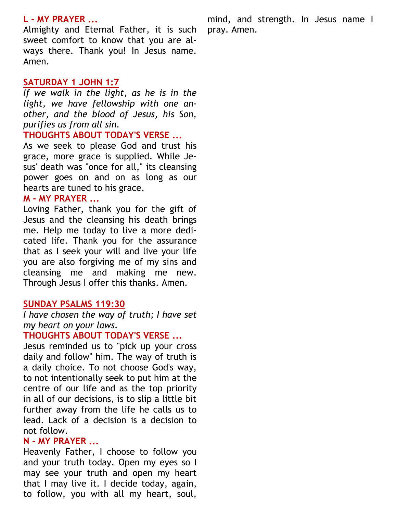#### **L - MY PRAYER ...**

Almighty and Eternal Father, it is such sweet comfort to know that you are always there. Thank you! In Jesus name. Amen.

#### **SATURDAY [1 JOHN 1:7](https://www.biblestudytools.com/1-john/1-7.html)**

*If we walk in the light, as he is in the light, we have fellowship with one another, and the blood of Jesus, his Son, purifies us from all sin.*

#### **THOUGHTS ABOUT TODAY'S VERSE ...**

As we seek to please God and trust his grace, more grace is supplied. While Jesus' death was "once for all," its cleansing power goes on and on as long as our hearts are tuned to his grace.

#### **M - MY PRAYER ...**

Loving Father, thank you for the gift of Jesus and the cleansing his death brings me. Help me today to live a more dedicated life. Thank you for the assurance that as I seek your will and live your life you are also forgiving me of my sins and cleansing me and making me new. Through Jesus I offer this thanks. Amen.

#### **SUNDAY [PSALMS 119:30](https://www.biblestudytools.com/psalms/119-30.html)**

*I have chosen the way of truth; I have set my heart on your laws.*

#### **THOUGHTS ABOUT TODAY'S VERSE ...**

Jesus reminded us to "pick up your cross daily and follow" him. The way of truth is a daily choice. To not choose God's way, to not intentionally seek to put him at the centre of our life and as the top priority in all of our decisions, is to slip a little bit further away from the life he calls us to lead. Lack of a decision is a decision to not follow.

#### **N - MY PRAYER ...**

Heavenly Father, I choose to follow you and your truth today. Open my eyes so I may see your truth and open my heart that I may live it. I decide today, again, to follow, you with all my heart, soul,

mind, and strength. In Jesus name I pray. Amen.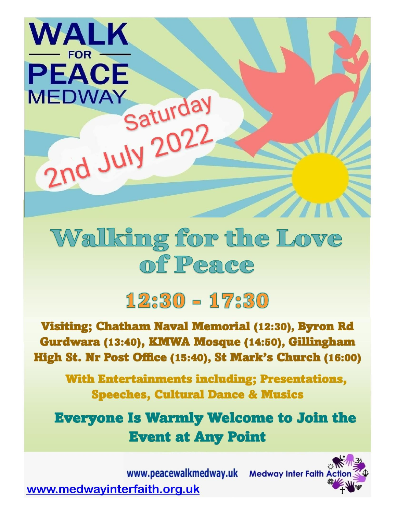# Walking for the Love of Peace

Saturday

2nd July 2022

### $1230 - 1730$

**Visiting; Chatham Naval Memorial (12:30), Byron Rd** Gurdwara (13:40), KMWA Mosque (14:50), Gillingham High St. Nr Post Office (15:40), St Mark's Church (16:00)

**With Entertainments including; Presentations, Speeches, Cultural Dance & Musics** 

**Everyone Is Warmly Welcome to Join the Event at Any Point** 

www.peacewalkmedway.uk Medway Inter Faith Ac www.medwayinterfaith.org.uk

**WALK** 

**FOR** 

**PEACE** 

**MEDWAY**